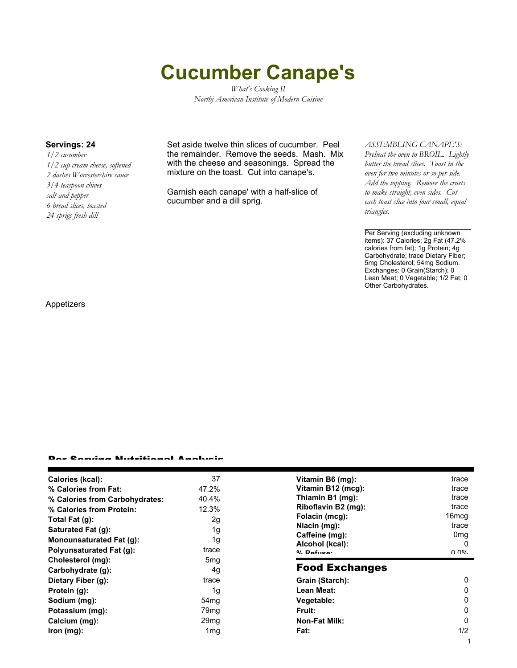# **Cucumber Canape's**

*What's Cooking II Northj American Institute of Modern Cuisine*

*1/2 cucumber 1/2 cup cream cheese, softened 2 dashes Worcestershire sauce 3/4 teaspoon chives salt and pepper 6 bread slices, toasted 24 sprigs fresh dill*

**Servings: 24** Set aside twelve thin slices of cucumber. Peel the remainder. Remove the seeds. Mash. Mix with the cheese and seasonings. Spread the mixture on the toast. Cut into canape's.

> Garnish each canape' with a half-slice of cucumber and a dill sprig.

### *ASSEMBLING CANAPE'S:*

*Preheat the oven to BROIL. Lightly butter the bread slices. Toast in the oven for two minutes or so per side. Add the topping. Remove the crusts to make straight, even sides. Cut each toast slice into four small, equal triangles.*

Per Serving (excluding unknown items): 37 Calories; 2g Fat (47.2% calories from fat); 1g Protein; 4g Carbohydrate; trace Dietary Fiber; 5mg Cholesterol; 54mg Sodium. Exchanges: 0 Grain(Starch); 0 Lean Meat; 0 Vegetable; 1/2 Fat; 0 Other Carbohydrates.

Appetizers

#### Per Serving Nutritional Analysis

| Calories (kcal):                | 37               | Vitamin B6 (mg):      | trace           |
|---------------------------------|------------------|-----------------------|-----------------|
| % Calories from Fat:            | 47.2%            | Vitamin B12 (mcg):    | trace           |
| % Calories from Carbohydrates:  | 40.4%            | Thiamin B1 (mg):      | trace           |
| % Calories from Protein:        | 12.3%            | Riboflavin B2 (mg):   | trace           |
| Total Fat $(g)$ :               | 2g               | Folacin (mcg):        | 16mcq           |
| Saturated Fat (g):              | 1g               | Niacin (mg):          | trace           |
|                                 |                  | Caffeine (mg):        | 0 <sub>mg</sub> |
| <b>Monounsaturated Fat (g):</b> | 1g               | Alcohol (kcal):       |                 |
| <b>Polyunsaturated Fat (g):</b> | trace            | $0/$ Dofuso:          | በ በ%            |
| Cholesterol (mg):               | 5 <sub>mq</sub>  |                       |                 |
| Carbohydrate (g):               | 4g               | <b>Food Exchanges</b> |                 |
| Dietary Fiber (g):              | trace            | Grain (Starch):       | 0               |
| Protein (g):                    | 1g               | Lean Meat:            | 0               |
| Sodium (mg):                    | 54 <sub>mq</sub> | Vegetable:            | 0               |
| Potassium (mg):                 | 79 <sub>mq</sub> | <b>Fruit:</b>         | 0               |
|                                 | 29 <sub>mq</sub> | <b>Non-Fat Milk:</b>  | 0               |
| Calcium (mg):                   |                  |                       |                 |
| lron (mg):                      | 1 <sub>mq</sub>  | Fat:                  | 1/2             |